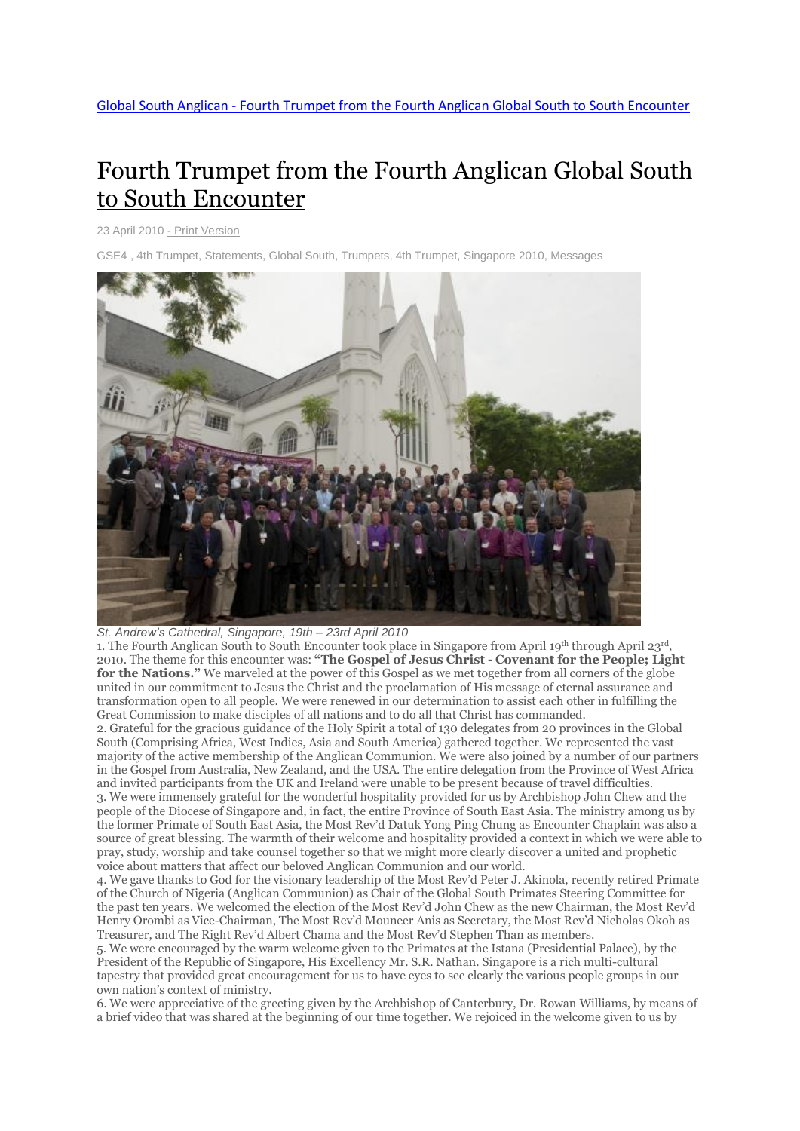# Fourth Trumpet from the Fourth [Anglican](http://www.globalsouthanglican.org/index.php/blog/comments/fourth_trumpet_from_the_fourth_anglican_global_south_to_south_encounter) Global South to South [Encounter](http://www.globalsouthanglican.org/index.php/blog/comments/fourth_trumpet_from_the_fourth_anglican_global_south_to_south_encounter)

23 April 2010 - Print [Version](http://globalsouthanglican.org/index.php/blog/printing/fourth_trumpet_from_the_fourth_anglican_global_south_to_south_encounter)

4th [Trumpet,](http://globalsouthanglican.org/index.php/archives/category/4th_trumpet) [Statements,](http://globalsouthanglican.org/index.php/archives/category/statements) [Global](http://globalsouthanglican.org/index.php/archives/category/global_south) South, [Trumpets,](http://globalsouthanglican.org/index.php/archives/category/trumpets) 4th Trumpet, [Singapore](http://globalsouthanglican.org/index.php/archives/category/4th_trumpet_singapore_2010) 2010, [Messages](http://globalsouthanglican.org/index.php/archives/category/messages)



## *St. Andrew's Cathedral, Singapore, 19th – 23rd April 2010*

1. The Fourth Anglican South to South Encounter took place in Singapore from April 19th through April 23rd, 2010. The theme for this encounter was: **"The Gospel of Jesus Christ - Covenant for the People; Light for the Nations."** We marveled at the power of this Gospel as we met together from all corners of the globe united in our commitment to Jesus the Christ and the proclamation of His message of eternal assurance and transformation open to all people. We were renewed in our determination to assist each other in fulfilling the Great Commission to make disciples of all nations and to do all that Christ has commanded.

2. Grateful for the gracious guidance of the Holy Spirit a total of 130 delegates from 20 provinces in the Global South (Comprising Africa, West Indies, Asia and South America) gathered together. We represented the vast majority of the active membership of the Anglican Communion. We were also joined by a number of our partners in the Gospel from Australia, New Zealand, and the USA. The entire delegation from the Province of West Africa and invited participants from the UK and Ireland were unable to be present because of travel difficulties. 3. We were immensely grateful for the wonderful hospitality provided for us by Archbishop John Chew and the people of the Diocese of Singapore and, in fact, the entire Province of South East Asia. The ministry among us by the former Primate of South East Asia, the Most Rev'd Datuk Yong Ping Chung as Encounter Chaplain was also a source of great blessing. The warmth of their welcome and hospitality provided a context in which we were able to pray, study, worship and take counsel together so that we might more clearly discover a united and prophetic voice about matters that affect our beloved Anglican Communion and our world.

4. We gave thanks to God for the visionary leadership of the Most Rev'd Peter J. Akinola, recently retired Primate of the Church of Nigeria (Anglican Communion) as Chair of the Global South Primates Steering Committee for the past ten years. We welcomed the election of the Most Rev'd John Chew as the new Chairman, the Most Rev'd Henry Orombi as Vice-Chairman, The Most Rev'd Mouneer Anis as Secretary, the Most Rev'd Nicholas Okoh as Treasurer, and The Right Rev'd Albert Chama and the Most Rev'd Stephen Than as members.

5. We were encouraged by the warm welcome given to the Primates at the Istana (Presidential Palace), by the President of the Republic of Singapore, His Excellency Mr. S.R. Nathan. Singapore is a rich multi-cultural tapestry that provided great encouragement for us to have eyes to see clearly the various people groups in our own nation's context of ministry.

6. We were appreciative of the greeting given by the Archbishop of Canterbury, Dr. Rowan Williams, by means of a brief video that was shared at the beginning of our time together. We rejoiced in the welcome given to us by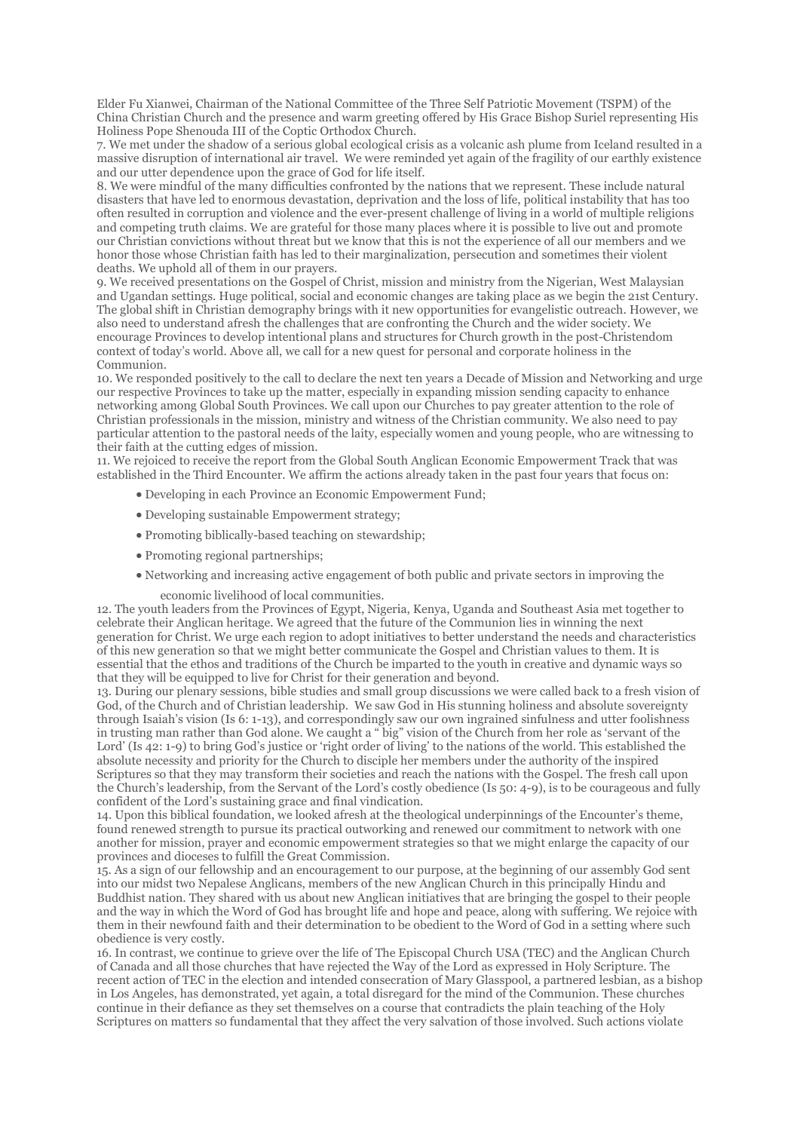Elder Fu Xianwei, Chairman of the National Committee of the Three Self Patriotic Movement (TSPM) of the China Christian Church and the presence and warm greeting offered by His Grace Bishop Suriel representing His Holiness Pope Shenouda III of the Coptic Orthodox Church.

7. We met under the shadow of a serious global ecological crisis as a volcanic ash plume from Iceland resulted in a massive disruption of international air travel. We were reminded yet again of the fragility of our earthly existence and our utter dependence upon the grace of God for life itself.

8. We were mindful of the many difficulties confronted by the nations that we represent. These include natural disasters that have led to enormous devastation, deprivation and the loss of life, political instability that has too often resulted in corruption and violence and the ever-present challenge of living in a world of multiple religions and competing truth claims. We are grateful for those many places where it is possible to live out and promote our Christian convictions without threat but we know that this is not the experience of all our members and we honor those whose Christian faith has led to their marginalization, persecution and sometimes their violent deaths. We uphold all of them in our prayers.

9. We received presentations on the Gospel of Christ, mission and ministry from the Nigerian, West Malaysian and Ugandan settings. Huge political, social and economic changes are taking place as we begin the 21st Century. The global shift in Christian demography brings with it new opportunities for evangelistic outreach. However, we also need to understand afresh the challenges that are confronting the Church and the wider society. We encourage Provinces to develop intentional plans and structures for Church growth in the post-Christendom context of today's world. Above all, we call for a new quest for personal and corporate holiness in the Communion.

10. We responded positively to the call to declare the next ten years a Decade of Mission and Networking and urge our respective Provinces to take up the matter, especially in expanding mission sending capacity to enhance networking among Global South Provinces. We call upon our Churches to pay greater attention to the role of Christian professionals in the mission, ministry and witness of the Christian community. We also need to pay particular attention to the pastoral needs of the laity, especially women and young people, who are witnessing to their faith at the cutting edges of mission.

11. We rejoiced to receive the report from the Global South Anglican Economic Empowerment Track that was established in the Third Encounter. We affirm the actions already taken in the past four years that focus on:

- Developing in each Province an Economic Empowerment Fund;
- Developing sustainable Empowerment strategy;
- Promoting biblically-based teaching on stewardship;
- Promoting regional partnerships;
- Networking and increasing active engagement of both public and private sectors in improving the
	- economic livelihood of local communities.

12. The youth leaders from the Provinces of Egypt, Nigeria, Kenya, Uganda and Southeast Asia met together to celebrate their Anglican heritage. We agreed that the future of the Communion lies in winning the next generation for Christ. We urge each region to adopt initiatives to better understand the needs and characteristics of this new generation so that we might better communicate the Gospel and Christian values to them. It is essential that the ethos and traditions of the Church be imparted to the youth in creative and dynamic ways so that they will be equipped to live for Christ for their generation and beyond.

13. During our plenary sessions, bible studies and small group discussions we were called back to a fresh vision of God, of the Church and of Christian leadership. We saw God in His stunning holiness and absolute sovereignty through Isaiah's vision (Is 6: 1-13), and correspondingly saw our own ingrained sinfulness and utter foolishness in trusting man rather than God alone. We caught a " big" vision of the Church from her role as 'servant of the Lord' (Is 42: 1-9) to bring God's justice or 'right order of living' to the nations of the world. This established the absolute necessity and priority for the Church to disciple her members under the authority of the inspired Scriptures so that they may transform their societies and reach the nations with the Gospel. The fresh call upon the Church's leadership, from the Servant of the Lord's costly obedience (Is 50: 4-9), is to be courageous and fully confident of the Lord's sustaining grace and final vindication.

14. Upon this biblical foundation, we looked afresh at the theological underpinnings of the Encounter's theme, found renewed strength to pursue its practical outworking and renewed our commitment to network with one another for mission, prayer and economic empowerment strategies so that we might enlarge the capacity of our provinces and dioceses to fulfill the Great Commission.

15. As a sign of our fellowship and an encouragement to our purpose, at the beginning of our assembly God sent into our midst two Nepalese Anglicans, members of the new Anglican Church in this principally Hindu and Buddhist nation. They shared with us about new Anglican initiatives that are bringing the gospel to their people and the way in which the Word of God has brought life and hope and peace, along with suffering. We rejoice with them in their newfound faith and their determination to be obedient to the Word of God in a setting where such obedience is very costly.

16. In contrast, we continue to grieve over the life of The Episcopal Church USA (TEC) and the Anglican Church of Canada and all those churches that have rejected the Way of the Lord as expressed in Holy Scripture. The recent action of TEC in the election and intended consecration of Mary Glasspool, a partnered lesbian, as a bishop in Los Angeles, has demonstrated, yet again, a total disregard for the mind of the Communion. These churches continue in their defiance as they set themselves on a course that contradicts the plain teaching of the Holy Scriptures on matters so fundamental that they affect the very salvation of those involved. Such actions violate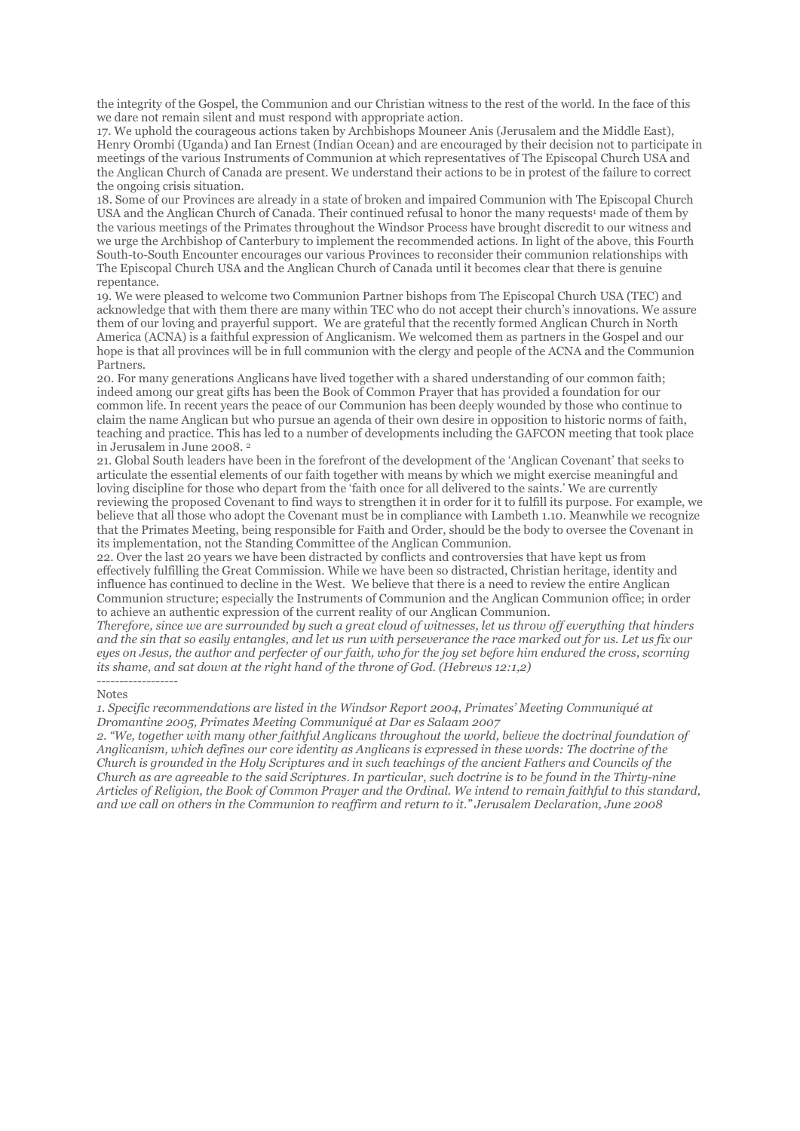the integrity of the Gospel, the Communion and our Christian witness to the rest of the world. In the face of this we dare not remain silent and must respond with appropriate action.

17. We uphold the courageous actions taken by Archbishops Mouneer Anis (Jerusalem and the Middle East), Henry Orombi (Uganda) and Ian Ernest (Indian Ocean) and are encouraged by their decision not to participate in meetings of the various Instruments of Communion at which representatives of The Episcopal Church USA and the Anglican Church of Canada are present. We understand their actions to be in protest of the failure to correct the ongoing crisis situation.

18. Some of our Provinces are already in a state of broken and impaired Communion with The Episcopal Church USA and the Anglican Church of Canada. Their continued refusal to honor the many requests<sup>1</sup> made of them by the various meetings of the Primates throughout the Windsor Process have brought discredit to our witness and we urge the Archbishop of Canterbury to implement the recommended actions. In light of the above, this Fourth South-to-South Encounter encourages our various Provinces to reconsider their communion relationships with The Episcopal Church USA and the Anglican Church of Canada until it becomes clear that there is genuine repentance.

19. We were pleased to welcome two Communion Partner bishops from The Episcopal Church USA (TEC) and acknowledge that with them there are many within TEC who do not accept their church's innovations. We assure them of our loving and prayerful support. We are grateful that the recently formed Anglican Church in North America (ACNA) is a faithful expression of Anglicanism. We welcomed them as partners in the Gospel and our hope is that all provinces will be in full communion with the clergy and people of the ACNA and the Communion Partners.

20. For many generations Anglicans have lived together with a shared understanding of our common faith; indeed among our great gifts has been the Book of Common Prayer that has provided a foundation for our common life. In recent years the peace of our Communion has been deeply wounded by those who continue to claim the name Anglican but who pursue an agenda of their own desire in opposition to historic norms of faith, teaching and practice. This has led to a number of developments including the GAFCON meeting that took place in Jerusalem in June 2008. <sup>2</sup>

21. Global South leaders have been in the forefront of the development of the 'Anglican Covenant' that seeks to articulate the essential elements of our faith together with means by which we might exercise meaningful and loving discipline for those who depart from the 'faith once for all delivered to the saints.' We are currently reviewing the proposed Covenant to find ways to strengthen it in order for it to fulfill its purpose. For example, we believe that all those who adopt the Covenant must be in compliance with Lambeth 1.10. Meanwhile we recognize that the Primates Meeting, being responsible for Faith and Order, should be the body to oversee the Covenant in its implementation, not the Standing Committee of the Anglican Communion.

22. Over the last 20 years we have been distracted by conflicts and controversies that have kept us from effectively fulfilling the Great Commission. While we have been so distracted, Christian heritage, identity and influence has continued to decline in the West. We believe that there is a need to review the entire Anglican Communion structure; especially the Instruments of Communion and the Anglican Communion office; in order to achieve an authentic expression of the current reality of our Anglican Communion.

Therefore, since we are surrounded by such a great cloud of witnesses, let us throw off everything that hinders and the sin that so easily entangles, and let us run with perseverance the race marked out for us. Let us fix our eyes on Jesus, the author and perfecter of our faith, who for the joy set before him endured the cross, scorning *its shame, and sat down at the right hand of the throne of God. (Hebrews 12:1,2) ------------------*

#### Notes

*1. Specific recommendations are listed in the Windsor Report 2004, Primates' Meeting Communiqué at Dromantine 2005, Primates Meeting Communiqué at Dar es Salaam 2007*

*2. "We, together with many other faithful Anglicans throughout the world, believe the doctrinal foundation of* Anglicanism, which defines our core identity as Anglicans is expressed in these words: The doctrine of the Church is grounded in the Holy Scriptures and in such teachings of the ancient Fathers and Councils of the Church as are agreeable to the said Scriptures. In particular, such doctrine is to be found in the Thirty-nine Articles of Religion, the Book of Common Prayer and the Ordinal. We intend to remain faithful to this standard, and we call on others in the Communion to reaffirm and return to it." Jerusalem Declaration, June 2008